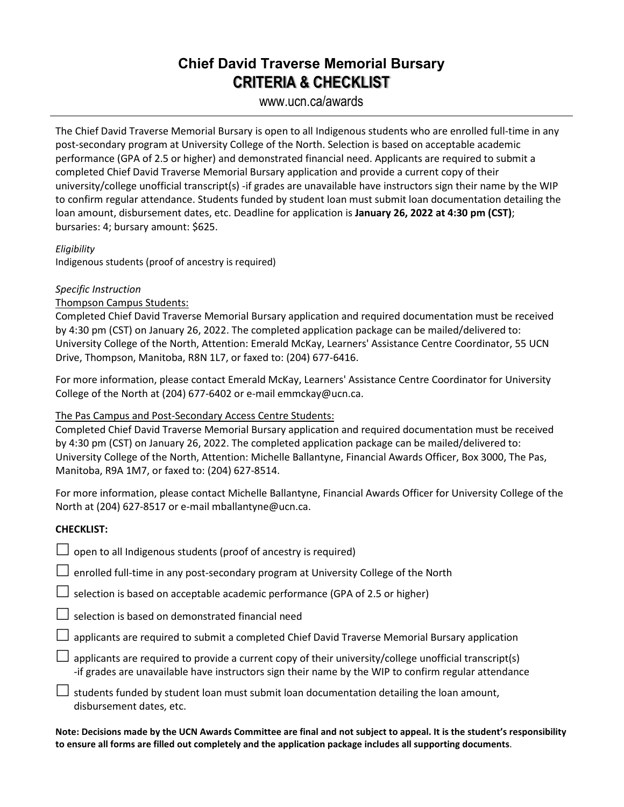## **Chief David Traverse Memorial Bursary CRITERIA & CHECKLIST**

www.ucn.ca/awards

The Chief David Traverse Memorial Bursary is open to all Indigenous students who are enrolled full-time in any post-secondary program at University College of the North. Selection is based on acceptable academic performance (GPA of 2.5 or higher) and demonstrated financial need. Applicants are required to submit a completed Chief David Traverse Memorial Bursary application and provide a current copy of their university/college unofficial transcript(s) -if grades are unavailable have instructors sign their name by the WIP to confirm regular attendance. Students funded by student loan must submit loan documentation detailing the loan amount, disbursement dates, etc. Deadline for application is **January 26, 2022 at 4:30 pm (CST)**; bursaries: 4; bursary amount: \$625.

#### *Eligibility*

Indigenous students (proof of ancestry is required)

#### *Specific Instruction*

#### Thompson Campus Students:

Completed Chief David Traverse Memorial Bursary application and required documentation must be received by 4:30 pm (CST) on January 26, 2022. The completed application package can be mailed/delivered to: University College of the North, Attention: Emerald McKay, Learners' Assistance Centre Coordinator, 55 UCN Drive, Thompson, Manitoba, R8N 1L7, or faxed to: (204) 677-6416.

For more information, please contact Emerald McKay, Learners' Assistance Centre Coordinator for University College of the North at (204) 677-6402 or e-mail emmckay@ucn.ca.

#### The Pas Campus and Post-Secondary Access Centre Students:

Completed Chief David Traverse Memorial Bursary application and required documentation must be received by 4:30 pm (CST) on January 26, 2022. The completed application package can be mailed/delivered to: University College of the North, Attention: Michelle Ballantyne, Financial Awards Officer, Box 3000, The Pas, Manitoba, R9A 1M7, or faxed to: (204) 627-8514.

For more information, please contact Michelle Ballantyne, Financial Awards Officer for University College of the North at (204) 627-8517 or e-mail mballantyne@ucn.ca.

### **CHECKLIST:**

 $\Box$  open to all Indigenous students (proof of ancestry is required)

 $\Box$  enrolled full-time in any post-secondary program at University College of the North

 $\Box$  selection is based on acceptable academic performance (GPA of 2.5 or higher)

 $\Box$  selection is based on demonstrated financial need

 $\Box$  applicants are required to submit a completed Chief David Traverse Memorial Bursary application

 $\Box$  applicants are required to provide a current copy of their university/college unofficial transcript(s) -if grades are unavailable have instructors sign their name by the WIP to confirm regular attendance

 $\Box$  students funded by student loan must submit loan documentation detailing the loan amount, disbursement dates, etc.

**Note: Decisions made by the UCN Awards Committee are final and not subject to appeal. It is the student's responsibility to ensure all forms are filled out completely and the application package includes all supporting documents**.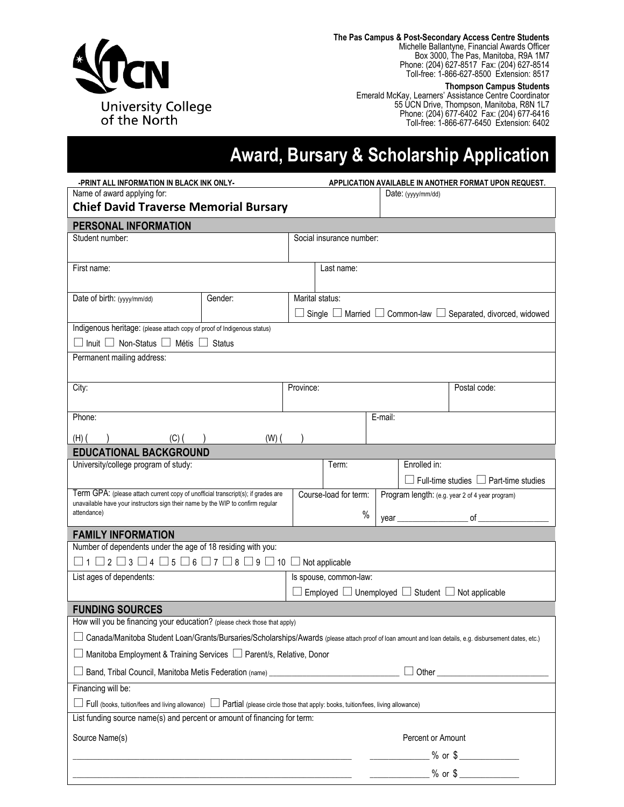

**The Pas Campus & Post-Secondary Access Centre Students** Michelle Ballantyne, Financial Awards Officer Box 3000, The Pas, Manitoba, R9A 1M7 Phone: (204) 627-8517 Fax: (204) 627-8514 Toll-free: 1-866-627-8500 Extension: 8517

#### **Thompson Campus Students**

Emerald McKay, Learners' Assistance Centre Coordinator 55 UCN Drive, Thompson, Manitoba, R8N 1L7 Phone: (204) 677-6402 Fax: (204) 677-6416 Toll-free: 1-866-677-6450 Extension: 6402

# **Award, Bursary & Scholarship Application**

| -PRINT ALL INFORMATION IN BLACK INK ONLY-                                                                                                                           |                                                                                                                        | APPLICATION AVAILABLE IN ANOTHER FORMAT UPON REQUEST.           |                        |         |                                                 |                                                                                    |  |
|---------------------------------------------------------------------------------------------------------------------------------------------------------------------|------------------------------------------------------------------------------------------------------------------------|-----------------------------------------------------------------|------------------------|---------|-------------------------------------------------|------------------------------------------------------------------------------------|--|
| Name of award applying for:                                                                                                                                         |                                                                                                                        |                                                                 |                        |         | Date: (yyyy/mm/dd)                              |                                                                                    |  |
| <b>Chief David Traverse Memorial Bursary</b>                                                                                                                        |                                                                                                                        |                                                                 |                        |         |                                                 |                                                                                    |  |
| PERSONAL INFORMATION                                                                                                                                                |                                                                                                                        |                                                                 |                        |         |                                                 |                                                                                    |  |
| Student number:                                                                                                                                                     |                                                                                                                        | Social insurance number:                                        |                        |         |                                                 |                                                                                    |  |
|                                                                                                                                                                     |                                                                                                                        |                                                                 |                        |         |                                                 |                                                                                    |  |
| First name:                                                                                                                                                         |                                                                                                                        | Last name:                                                      |                        |         |                                                 |                                                                                    |  |
|                                                                                                                                                                     |                                                                                                                        |                                                                 |                        |         |                                                 |                                                                                    |  |
| Date of birth: (yyyy/mm/dd)                                                                                                                                         | Gender:                                                                                                                | Marital status:                                                 |                        |         |                                                 |                                                                                    |  |
|                                                                                                                                                                     |                                                                                                                        |                                                                 |                        |         |                                                 | $\Box$ Single $\Box$ Married $\Box$ Common-law $\Box$ Separated, divorced, widowed |  |
| Indigenous heritage: (please attach copy of proof of Indigenous status)                                                                                             |                                                                                                                        |                                                                 |                        |         |                                                 |                                                                                    |  |
| $\Box$ Inuit $\Box$ Non-Status $\Box$ Métis $\Box$ Status                                                                                                           |                                                                                                                        |                                                                 |                        |         |                                                 |                                                                                    |  |
| Permanent mailing address:                                                                                                                                          |                                                                                                                        |                                                                 |                        |         |                                                 |                                                                                    |  |
|                                                                                                                                                                     |                                                                                                                        |                                                                 |                        |         |                                                 |                                                                                    |  |
| City:                                                                                                                                                               |                                                                                                                        | Province:                                                       |                        |         |                                                 | Postal code:                                                                       |  |
|                                                                                                                                                                     |                                                                                                                        |                                                                 |                        |         |                                                 |                                                                                    |  |
| Phone:                                                                                                                                                              |                                                                                                                        |                                                                 |                        | E-mail: |                                                 |                                                                                    |  |
| $(H)$ (<br>$(C)$ ( )                                                                                                                                                | $(W)$ $($                                                                                                              |                                                                 |                        |         |                                                 |                                                                                    |  |
| <b>EDUCATIONAL BACKGROUND</b>                                                                                                                                       |                                                                                                                        |                                                                 |                        |         |                                                 |                                                                                    |  |
| University/college program of study:                                                                                                                                |                                                                                                                        | Term:                                                           |                        |         | Enrolled in:                                    |                                                                                    |  |
|                                                                                                                                                                     |                                                                                                                        |                                                                 |                        |         |                                                 | $\Box$ Full-time studies $\Box$ Part-time studies                                  |  |
| Term GPA: (please attach current copy of unofficial transcript(s); if grades are<br>unavailable have your instructors sign their name by the WIP to confirm regular |                                                                                                                        | Course-load for term:                                           |                        |         | Program length: (e.g. year 2 of 4 year program) |                                                                                    |  |
| attendance)                                                                                                                                                         |                                                                                                                        |                                                                 | $\%$                   |         |                                                 |                                                                                    |  |
| <b>FAMILY INFORMATION</b>                                                                                                                                           |                                                                                                                        |                                                                 |                        |         |                                                 |                                                                                    |  |
| Number of dependents under the age of 18 residing with you:                                                                                                         |                                                                                                                        |                                                                 |                        |         |                                                 |                                                                                    |  |
| $\Box$ 1 $\Box$ 2 $\Box$ 3 $\Box$ 4 $\Box$ 5 $\Box$ 6 $\Box$ 7 $\Box$ 8 $\Box$ 9 $\Box$ 10 $\Box$ Not applicable                                                    |                                                                                                                        |                                                                 |                        |         |                                                 |                                                                                    |  |
| List ages of dependents:                                                                                                                                            |                                                                                                                        |                                                                 | Is spouse, common-law: |         |                                                 |                                                                                    |  |
|                                                                                                                                                                     |                                                                                                                        | Employed $\Box$ Unemployed $\Box$ Student $\Box$ Not applicable |                        |         |                                                 |                                                                                    |  |
| <b>FUNDING SOURCES</b>                                                                                                                                              |                                                                                                                        |                                                                 |                        |         |                                                 |                                                                                    |  |
| How will you be financing your education? (please check those that apply)                                                                                           |                                                                                                                        |                                                                 |                        |         |                                                 |                                                                                    |  |
| □ Canada/Manitoba Student Loan/Grants/Bursaries/Scholarships/Awards (please attach proof of loan amount and loan details, e.g. disbursement dates, etc.)            |                                                                                                                        |                                                                 |                        |         |                                                 |                                                                                    |  |
| $\Box$ Manitoba Employment & Training Services $\Box$ Parent/s, Relative, Donor                                                                                     |                                                                                                                        |                                                                 |                        |         |                                                 |                                                                                    |  |
| □ Band, Tribal Council, Manitoba Metis Federation (name) ______________________________                                                                             |                                                                                                                        |                                                                 |                        |         |                                                 |                                                                                    |  |
| Financing will be:                                                                                                                                                  |                                                                                                                        |                                                                 |                        |         |                                                 |                                                                                    |  |
| □ Full (books, tuition/fees and living allowance) □ Partial (please circle those that apply: books, tuition/fees, living allowance)                                 |                                                                                                                        |                                                                 |                        |         |                                                 |                                                                                    |  |
| List funding source name(s) and percent or amount of financing for term:                                                                                            |                                                                                                                        |                                                                 |                        |         |                                                 |                                                                                    |  |
|                                                                                                                                                                     |                                                                                                                        |                                                                 |                        |         |                                                 |                                                                                    |  |
| Source Name(s)                                                                                                                                                      |                                                                                                                        |                                                                 |                        |         | Percent or Amount                               |                                                                                    |  |
|                                                                                                                                                                     |                                                                                                                        |                                                                 |                        |         |                                                 | $\frac{1}{2}$ % or \$                                                              |  |
|                                                                                                                                                                     | <u> 1989 - Johann Stoff, deutscher Stoffen und der Stoffen und der Stoffen und der Stoffen und der Stoffen und der</u> |                                                                 |                        |         |                                                 | $\frac{1}{2}$ % or \$                                                              |  |